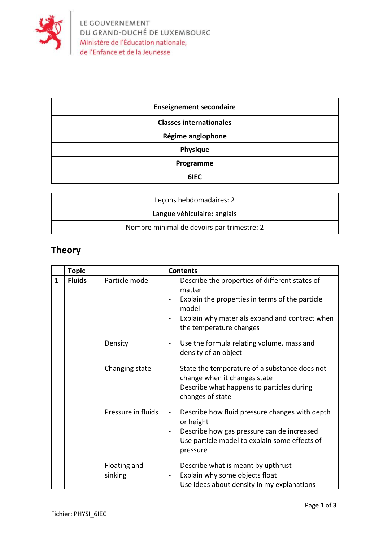

| <b>Enseignement secondaire</b> |  |  |
|--------------------------------|--|--|
| <b>Classes internationales</b> |  |  |
| Régime anglophone              |  |  |
| Physique                       |  |  |
| Programme                      |  |  |
| 6IEC                           |  |  |

| Lecons hebdomadaires: 2                    |  |
|--------------------------------------------|--|
| Langue véhiculaire: anglais                |  |
| Nombre minimal de devoirs par trimestre: 2 |  |

## **Theory**

|   | <b>Topic</b>  |                         | <b>Contents</b>                                                                                                                                                                                                          |
|---|---------------|-------------------------|--------------------------------------------------------------------------------------------------------------------------------------------------------------------------------------------------------------------------|
| 1 | <b>Fluids</b> | Particle model          | Describe the properties of different states of<br>matter<br>Explain the properties in terms of the particle<br>model<br>Explain why materials expand and contract when<br>the temperature changes                        |
|   |               | Density                 | Use the formula relating volume, mass and<br>$\blacksquare$<br>density of an object                                                                                                                                      |
|   |               | Changing state          | State the temperature of a substance does not<br>$\blacksquare$<br>change when it changes state<br>Describe what happens to particles during<br>changes of state                                                         |
|   |               | Pressure in fluids      | Describe how fluid pressure changes with depth<br>$\qquad \qquad \blacksquare$<br>or height<br>Describe how gas pressure can de increased<br>$\blacksquare$<br>Use particle model to explain some effects of<br>pressure |
|   |               | Floating and<br>sinking | Describe what is meant by upthrust<br>$\qquad \qquad \blacksquare$<br>Explain why some objects float<br>Use ideas about density in my explanations                                                                       |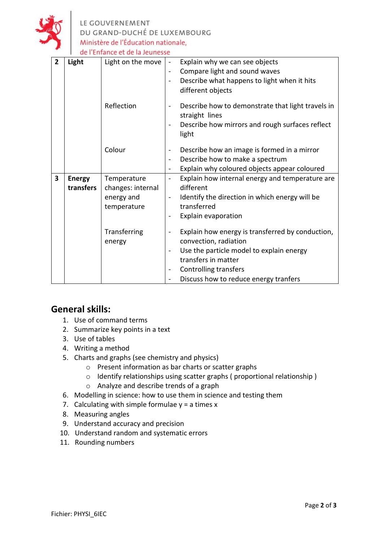

LE GOUVERNEMENT<br>DU GRAND-DUCHÉ DE LUXEMBOURG Ministère de l'Éducation nationale, de l'Enfance et de la Jeunesse

| $\overline{2}$ | Light                      | Light on the move                                             | Explain why we can see objects<br>$\blacksquare$<br>Compare light and sound waves<br>Describe what happens to light when it hits<br>$\qquad \qquad \blacksquare$<br>different objects                          |
|----------------|----------------------------|---------------------------------------------------------------|----------------------------------------------------------------------------------------------------------------------------------------------------------------------------------------------------------------|
|                |                            | Reflection                                                    | Describe how to demonstrate that light travels in<br>straight lines<br>Describe how mirrors and rough surfaces reflect<br>light                                                                                |
|                |                            | Colour                                                        | Describe how an image is formed in a mirror<br>Describe how to make a spectrum<br>$\overline{\phantom{0}}$<br>Explain why coloured objects appear coloured                                                     |
| 3              | <b>Energy</b><br>transfers | Temperature<br>changes: internal<br>energy and<br>temperature | Explain how internal energy and temperature are<br>$\overline{\phantom{0}}$<br>different<br>Identify the direction in which energy will be<br>$\blacksquare$<br>transferred<br>Explain evaporation             |
|                |                            | Transferring<br>energy                                        | Explain how energy is transferred by conduction,<br>convection, radiation<br>Use the particle model to explain energy<br>transfers in matter<br>Controlling transfers<br>Discuss how to reduce energy tranfers |

## **General skills:**

- 1. Use of command terms
- 2. Summarize key points in a text
- 3. Use of tables
- 4. Writing a method
- 5. Charts and graphs (see chemistry and physics)
	- o Present information as bar charts or scatter graphs
	- o Identify relationships using scatter graphs ( proportional relationship )
	- o Analyze and describe trends of a graph
- 6. Modelling in science: how to use them in science and testing them
- 7. Calculating with simple formulae  $y = a$  times x
- 8. Measuring angles
- 9. Understand accuracy and precision
- 10. Understand random and systematic errors
- 11. Rounding numbers